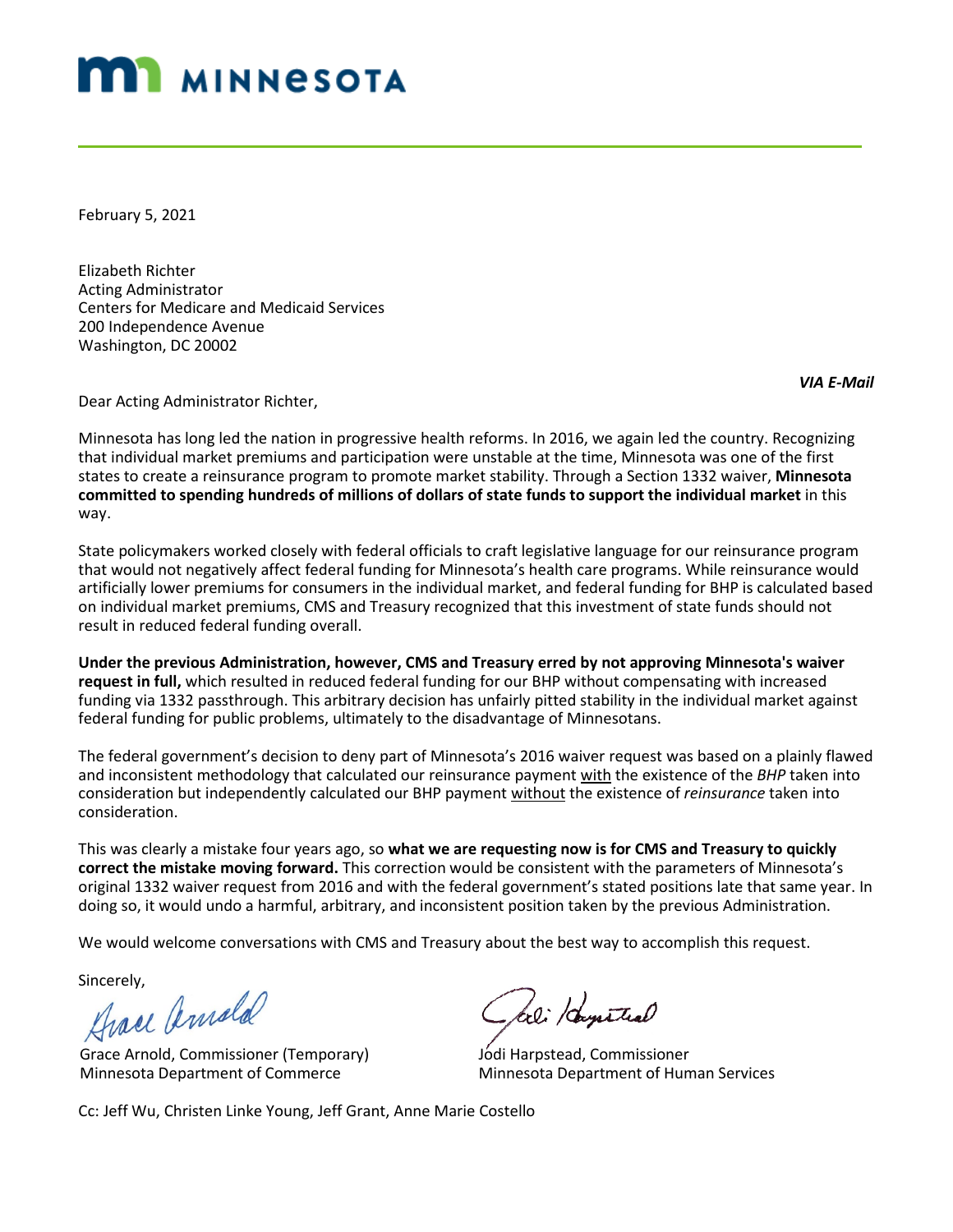## **MI MINNESOTA**

February 5, 2021

Elizabeth Richter Acting Administrator Centers for Medicare and Medicaid Services 200 Independence Avenue Washington, DC 20002

*VIA E-Mail*

Dear Acting Administrator Richter,

Minnesota has long led the nation in progressive health reforms. In 2016, we again led the country. Recognizing that individual market premiums and participation were unstable at the time, Minnesota was one of the first states to create a reinsurance program to promote market stability. Through a Section 1332 waiver, **Minnesota committed to spending hundreds of millions of dollars of state funds to support the individual market** in this way.

State policymakers worked closely with federal officials to craft legislative language for our reinsurance program that would not negatively affect federal funding for Minnesota's health care programs. While reinsurance would artificially lower premiums for consumers in the individual market, and federal funding for BHP is calculated based on individual market premiums, CMS and Treasury recognized that this investment of state funds should not result in reduced federal funding overall.

**Under the previous Administration, however, CMS and Treasury erred by not approving Minnesota's waiver request in full,** which resulted in reduced federal funding for our BHP without compensating with increased funding via 1332 passthrough. This arbitrary decision has unfairly pitted stability in the individual market against federal funding for public problems, ultimately to the disadvantage of Minnesotans.

The federal government's decision to deny part of Minnesota's 2016 waiver request was based on a plainly flawed and inconsistent methodology that calculated our reinsurance payment with the existence of the *BHP* taken into consideration but independently calculated our BHP payment without the existence of *reinsurance* taken into consideration.

This was clearly a mistake four years ago, so **what we are requesting now is for CMS and Treasury to quickly correct the mistake moving forward.** This correction would be consistent with the parameters of Minnesota's original 1332 waiver request from 2016 and with the federal government's stated positions late that same year. In doing so, it would undo a harmful, arbitrary, and inconsistent position taken by the previous Administration.

We would welcome conversations with CMS and Treasury about the best way to accomplish this request.

Sincerely,<br>Hrace Amald

Grace Arnold, Commissioner (Temporary) Minnesota Department of Commerce

- feel Hoysteal

Jodi Harpstead, Commissioner Minnesota Department of Human Services

Cc: Jeff Wu, Christen Linke Young, Jeff Grant, Anne Marie Costello